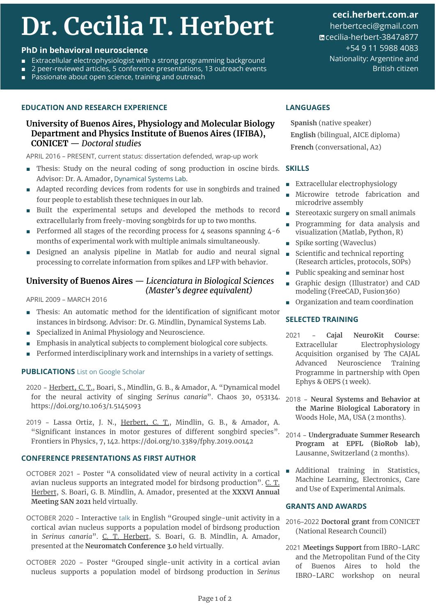# **Dr. Cecilia T. Herbert**

#### **PhD in behavioral neuroscience**

- Extracellular electrophysiologist with a strong programming background
- 2 peer-reviewed articles, 5 conference presentations, 13 outreach events
- Passionate about open science, training and outreach

#### **EDUCATION AND RESEARCH EXPERIENCE**

### **University of Buenos Aires, Physiology and Molecular Biology Department and Physics Institute of Buenos Aires (IFIBA), CONICET** — *Doctoral studies*

APRIL 2016 – PRESENT, current status: dissertation defended, wrap-up work

- Thesis: Study on the neural coding of song production in oscine birds. **SKILLS** Advisor: Dr. A. Amador, [Dynamical Systems Lab](http://lsd.df.uba.ar).
- Adapted recording devices from rodents for use in songbirds and trained four people to establish these techniques in our lab.
- Built the experimental setups and developed the methods to record extracellularly from freely-moving songbirds for up to two months.
- Performed all stages of the recording process for 4 seasons spanning 4-6 months of experimental work with multiple animals simultaneously.
- Designed an analysis pipeline in Matlab for audio and neural signal processing to correlate information from spikes and LFP with behavior.

### **University of Buenos Aires** — *Licenciatura in Biological Sciences (Master's degree equivalent)*

APRIL 2009 – MARCH 2016

- Thesis: An automatic method for the identification of significant motor instances in birdsong. Advisor: Dr. G. Mindlin, Dynamical Systems Lab.
- Specialized in Animal Physiology and Neuroscience.
- Emphasis in analytical subjects to complement biological core subjects.
- Performed interdisciplinary work and internships in a variety of settings.

### **PUBLICATIONS** [List on Google Scholar](http://scholar.google.com/citations?user=wAjdb0cAAAAJ)

- 2020 Herbert, C. T., Boari, S., Mindlin, G. B., & Amador, A. "Dynamical model for the neural activity of singing *Serinus canaria*". Chaos 30, 053134. <https://doi.org/10.1063/1.5145093>
- 2019 Lassa Ortiz, J. N., Herbert, C. T., Mindlin, G. B., & Amador, A. "Significant instances in motor gestures of different songbird species". Frontiers in Physics, 7, 142. <https://doi.org/10.3389/fphy.2019.00142>

### **CONFERENCE PRESENTATIONS AS FIRST AUTHOR**

- OCTOBER 2021 Poster "A consolidated view of neural activity in a cortical avian nucleus supports an integrated model for birdsong production". C. T. Herbert, S. Boari, G. B. Mindlin, A. Amador, presented at the **XXXVI Annual Meeting SAN 2021** held virtually.
- OCTOBER 2020 Interactive [talk](http://bit.ly/neuromatch3herbert) in English "Grouped single-unit activity in a cortical avian nucleus supports a population model of birdsong production in *Serinus canaria*". C. T. Herbert, S. Boari, G. B. Mindlin, A. Amador, presented at the **Neuromatch Conference 3.0** held virtually.
- OCTOBER 2020 Poster "Grouped single-unit activity in a cortical avian nucleus supports a population model of birdsong production in *Serinus*

**[ceci.herbert.com.ar](https://ceci.herbert.com.ar/)** herbertceci@gmail.com [cecilia-herbert-3847a877](https://www.linkedin.com/in/cecilia-herbert-3847a877/?locale=en_US) +54 9 11 5988 4083

Nationality: Argentine and British citizen

#### **LANGUAGES**

**Spanish** (native speaker) **English** (bilingual, AICE diploma) **French** (conversational, A2)

- Extracellular electrophysiology
- Microwire tetrode fabrication and microdrive assembly
- Stereotaxic surgery on small animals
- Programming for data analysis and visualization (Matlab, Python, R)
- Spike sorting (Waveclus)
- Scientific and technical reporting (Research articles, protocols, SOPs)
- Public speaking and seminar host
- Graphic design (Illustrator) and CAD modeling (FreeCAD, Fusion360)
- Organization and team coordination

#### **SELECTED TRAINING**

- 2021 **Cajal NeuroKit Course**: Extracellular Electrophysiology Acquisition organised by The CAJAL Advanced Neuroscience Training Programme in partnership with Open Ephys & OEPS (1 week).
- 2018 **Neural Systems and Behavior at the Marine Biological Laboratory** in Woods Hole, MA, USA (2 months).
- 2014 **Undergraduate Summer Research Program at EPFL (BioRob lab)**, Lausanne, Switzerland (2 months).
- Additional training in Statistics, Machine Learning, Electronics, Care and Use of Experimental Animals.

#### **GRANTS AND AWARDS**

- 2016–2022 **Doctoral grant** from CONICET (National Research Council)
- 2021 **Meetings Support** from IBRO-LARC and the Metropolitan Fund of the City of Buenos Aires to hold the IBRO-LARC workshop on neural